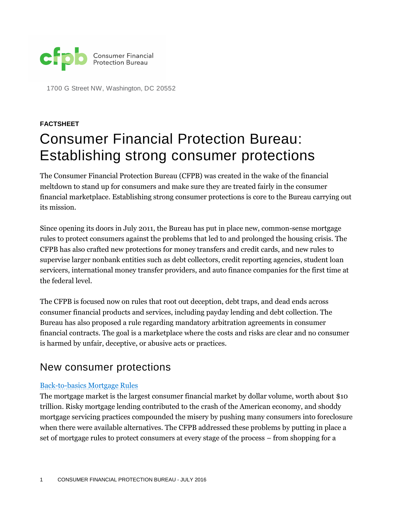

1700 G Street NW, Washington, DC 20552

# **FACTSHEET** Consumer Financial Protection Bureau: Establishing strong consumer protections

The Consumer Financial Protection Bureau (CFPB) was created in the wake of the financial meltdown to stand up for consumers and make sure they are treated fairly in the consumer financial marketplace. Establishing strong consumer protections is core to the Bureau carrying out its mission.

Since opening its doors in July 2011, the Bureau has put in place new, common-sense mortgage rules to protect consumers against the problems that led to and prolonged the housing crisis. The CFPB has also crafted new protections for money transfers and credit cards, and new rules to supervise larger nonbank entities such as debt collectors, credit reporting agencies, student loan servicers, international money transfer providers, and auto finance companies for the first time at the federal level.

The CFPB is focused now on rules that root out deception, debt traps, and dead ends across consumer financial products and services, including payday lending and debt collection. The Bureau has also proposed a rule regarding mandatory arbitration agreements in consumer financial contracts. The goal is a marketplace where the costs and risks are clear and no consumer is harmed by unfair, deceptive, or abusive acts or practices.

# New consumer protections

#### [Back-to-basics Mortgage Rules](http://www.consumerfinance.gov/mortgage/)

The mortgage market is the largest consumer financial market by dollar volume, worth about \$10 trillion. Risky mortgage lending contributed to the crash of the American economy, and shoddy mortgage servicing practices compounded the misery by pushing many consumers into foreclosure when there were available alternatives. The CFPB addressed these problems by putting in place a set of mortgage rules to protect consumers at every stage of the process – from shopping for a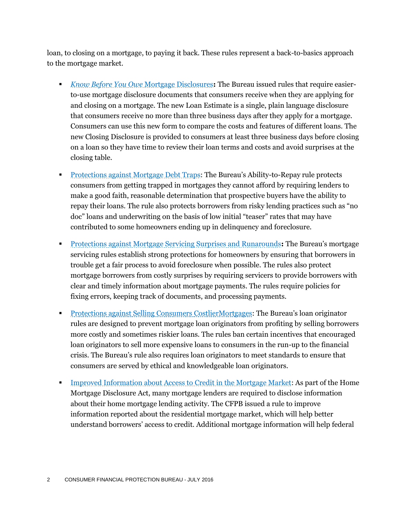loan, to closing on a mortgage, to paying it back. These rules represent a back-to-basics approach to the mortgage market.

- *[Know Before You Owe](http://www.consumerfinance.gov/know-before-you-owe/)* Mortgage Disclosures**:** The Bureau issued rules that require easierto-use mortgage disclosure documents that consumers receive when they are applying for and closing on a mortgage. The new Loan Estimate is a single, plain language disclosure that consumers receive no more than three business days after they apply for a mortgage. Consumers can use this new form to compare the costs and features of different loans. The new Closing Disclosure is provided to consumers at least three business days before closing on a loan so they have time to review their loan terms and costs and avoid surprises at the closing table.
- **[Protections against Mortgage Debt Traps](http://www.consumerfinance.gov/newsroom/consumer-financial-protection-bureau-issues-rule-to-protect-consumers-from-irresponsible-mortgage-lending/): The Bureau's Ability-to-Repay rule protects** consumers from getting trapped in mortgages they cannot afford by requiring lenders to make a good faith, reasonable determination that prospective buyers have the ability to repay their loans. The rule also protects borrowers from risky lending practices such as "no doc" loans and underwriting on the basis of low initial "teaser" rates that may have contributed to some homeowners ending up in delinquency and foreclosure.
- [Protections against Mortgage Servicing Surprises and Runarounds](http://www.consumerfinance.gov/newsroom/consumer-financial-protection-bureau-rules-establish-strong-protections-for-homeowners-facing-foreclosure/)**:** The Bureau's mortgage servicing rules establish strong protections for homeowners by ensuring that borrowers in trouble get a fair process to avoid foreclosure when possible. The rules also protect mortgage borrowers from costly surprises by requiring servicers to provide borrowers with clear and timely information about mortgage payments. The rules require policies for fixing errors, keeping track of documents, and processing payments.
- [Protections against Selling Consumers CostlierMortgages](http://www.consumerfinance.gov/newsroom/consumer-financial-protection-bureau-rules-to-prevent-loan-originators-from-steering-consumers-into-risky-mortgages/): The Bureau's loan originator rules are designed to prevent mortgage loan originators from profiting by selling borrowers more costly and sometimes riskier loans. The rules ban certain incentives that encouraged loan originators to sell more expensive loans to consumers in the run-up to the financial crisis. The Bureau's rule also requires loan originators to meet standards to ensure that consumers are served by ethical and knowledgeable loan originators.
- [Improved Information about Access to Credit in the Mortgage Market:](http://www.consumerfinance.gov/newsroom/cfpb-finalizes-rule-to-improve-information-about-access-to-credit-in-the-mortgage-market/) As part of the Home Mortgage Disclosure Act, many mortgage lenders are required to disclose information about their home mortgage lending activity. The CFPB issued a rule to improve information reported about the residential mortgage market, which will help better understand borrowers' access to credit. Additional mortgage information will help federal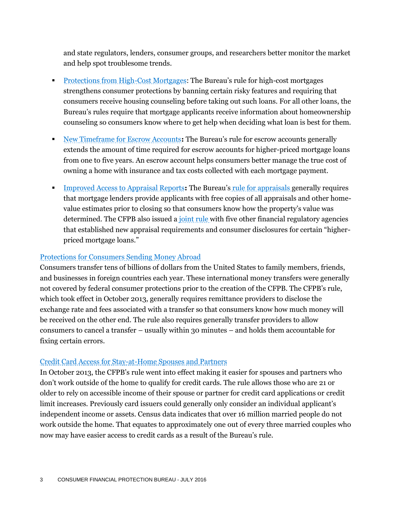and state regulators, lenders, consumer groups, and researchers better monitor the market and help spot troublesome trends.

- [Protections from High-Cost Mortgages](http://www.consumerfinance.gov/newsroom/consumer-financial-protection-bureau-issues-rules-to-strenthen-protections-for-high-cost-mortgages/): The Bureau's rule for high-cost mortgages strengthens consumer protections by banning certain risky features and requiring that consumers receive housing counseling before taking out such loans. For all other loans, the Bureau's rules require that mortgage applicants receive information about homeownership counseling so consumers know where to get help when deciding what loan is best for them.
- [New Timeframe for Escrow Accounts](http://www.consumerfinance.gov/newsroom/consumer-financial-protection-bureau-issues-rules-to-strenthen-protections-for-high-cost-mortgages/)**:** The Bureau's rule for escrow accounts generally extends the amount of time required for escrow accounts for higher-priced mortgage loans from one to five years. An escrow account helps consumers better manage the true cost of owning a home with insurance and tax costs collected with each mortgage payment.
- [Improved Access to Appraisal Reports](http://www.consumerfinance.gov/newsroom/consumer-financial-protection-bureau-adopts-rule-to-improve-consumer-access-to-appraisal-reports/)**:** The Bureau's [rule for appraisals g](http://files.consumerfinance.gov/f/201301_cfpb_final-rule_ecoa-appraisals.pdf)enerally requires that mortgage lenders provide applicants with free copies of all appraisals and other homevalue estimates prior to closing so that consumers know how the property's value was determined. The CFPB also issued a [joint rule w](http://www.consumerfinance.gov/newsroom/agencies-issue-final-rule-on-appraisals-for-higher-priced-mortgage-loans/)ith five other financial regulatory agencies that established new appraisal requirements and consumer disclosures for certain "higherpriced mortgage loans."

#### [Protections for Consumers Sending Money Abroad](http://www.consumerfinance.gov/newsroom/consumer-financial-protection-bureau-adopts-rule-to-protect-consumers-sending-money-internationally/)

Consumers transfer tens of billions of dollars from the United States to family members, friends, and businesses in foreign countries each year. These international money transfers were generally not covered by federal consumer protections prior to the creation of the CFPB. The CFPB's rule, which took effect in October 2013, generally requires remittance providers to disclose the exchange rate and fees associated with a transfer so that consumers know how much money will be received on the other end. The rule also requires generally transfer providers to allow consumers to cancel a transfer – usually within 30 minutes – and holds them accountable for fixing certain errors.

#### [Credit Card Access for Stay-at-Home Spouses and Partners](http://www.consumerfinance.gov/newsroom/the-cfpb-amends-card-act-rule-to-make-it-easier-for-stay-at-home-spouses-and-partners-to-get-credit-cards/)

In October 2013, the CFPB's rule went into effect making it easier for spouses and partners who don't work outside of the home to qualify for credit cards. The rule allows those who are 21 or older to rely on accessible income of their spouse or partner for credit card applications or credit limit increases. Previously card issuers could generally only consider an individual applicant's independent income or assets. Census data indicates that over 16 million married people do not work outside the home. That equates to approximately one out of every three married couples who now may have easier access to credit cards as a result of the Bureau's rule.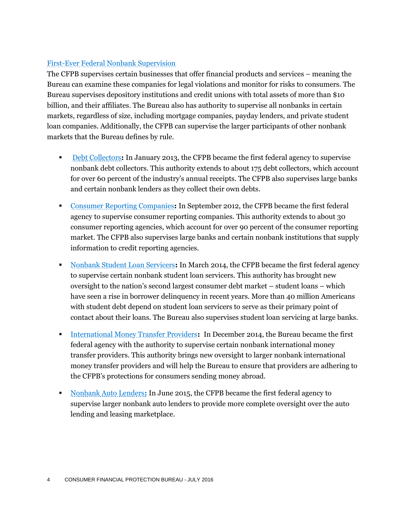## [First-Ever Federal Nonbank Supervision](http://www.consumerfinance.gov/newsroom/consumer-financial-protection-bureau-launches-nonbank-supervision-program/)

The CFPB supervises certain businesses that offer financial products and services – meaning the Bureau can examine these companies for legal violations and monitor for risks to consumers. The Bureau supervises depository institutions and credit unions with total assets of more than \$10 billion, and their affiliates. The Bureau also has authority to supervise all nonbanks in certain markets, regardless of size, including mortgage companies, payday lenders, and private student loan companies. Additionally, the CFPB can supervise the larger participants of other nonbank markets that the Bureau defines by rule.

- [Debt Collectors](http://www.consumerfinance.gov/newsroom/consumer-financial-protection-bureau-to-oversee-debt-collectors/): In January 2013, the CFPB became the first federal agency to supervise nonbank debt collectors. This authority extends to about 175 debt collectors, which account for over 60 percent of the industry's annual receipts. The CFPB also supervises large banks and certain nonbank lenders as they collect their own debts.
- [Consumer Reporting Companies](http://www.consumerfinance.gov/newsroom/consumer-financial-protection-bureau-to-superivse-credit-reporting/)**:** In September 2012, the CFPB became the first federal agency to supervise consumer reporting companies. This authority extends to about 30 consumer reporting agencies, which account for over 90 percent of the consumer reporting market. The CFPB also supervises large banks and certain nonbank institutions that supply information to credit reporting agencies.
- [Nonbank Student Loan Servicers](http://www.consumerfinance.gov/newsroom/cfpb-to-oversee-nonbank-student-loan-servicers/)**:** In March 2014, the CFPB became the first federal agency to supervise certain nonbank student loan servicers. This authority has brought new oversight to the nation's second largest consumer debt market – student loans – which have seen a rise in borrower delinquency in recent years. More than 40 million Americans with student debt depend on student loan servicers to serve as their primary point of contact about their loans. The Bureau also supervises student loan servicing at large banks.
- **[International Money Transfer Providers](http://www.consumerfinance.gov/newsroom/cfpb-finalizes-rule-to-oversee-larger-nonbank-international-money-transfer-providers/):** In December 2014, the Bureau became the first federal agency with the authority to supervise certain nonbank international money transfer providers. This authority brings new oversight to larger nonbank international money transfer providers and will help the Bureau to ensure that providers are adhering to the CFPB's protections for consumers sending money abroad.
- [Nonbank Auto Lenders](http://www.consumerfinance.gov/newsroom/cfpb-to-oversee-nonbank-auto-finance-companies/)**:** In June 2015, the CFPB became the first federal agency to supervise larger nonbank auto lenders to provide more complete oversight over the auto lending and leasing marketplace.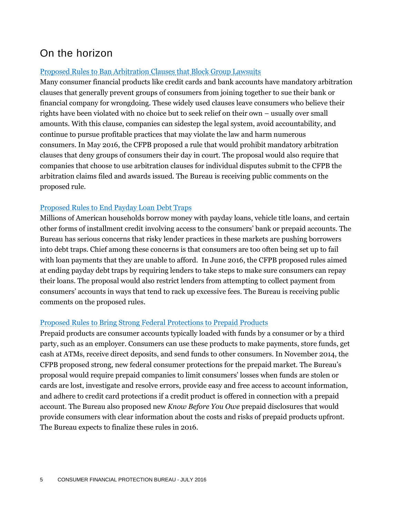# On the horizon

### [Proposed Rules to Ban Arbitration Clauses that Block Group Lawsuits](http://www.consumerfinance.gov/newsroom/cfpb-considers-proposal-to-ban-arbitration-clauses-that-allow-companies-to-avoid-accountability-to-their-customers/)

Many consumer financial products like credit cards and bank accounts have mandatory arbitration clauses that generally prevent groups of consumers from joining together to sue their bank or financial company for wrongdoing. These widely used clauses leave consumers who believe their rights have been violated with no choice but to seek relief on their own – usually over small amounts. With this clause, companies can sidestep the legal system, avoid accountability, and continue to pursue profitable practices that may violate the law and harm numerous consumers. In May 2016, the CFPB proposed a rule that would prohibit mandatory arbitration clauses that deny groups of consumers their day in court. The proposal would also require that companies that choose to use arbitration clauses for individual disputes submit to the CFPB the arbitration claims filed and awards issued. The Bureau is receiving public comments on the proposed rule.

## [Proposed Rules to End Payday Loan Debt Traps](http://www.consumerfinance.gov/about-us/newsroom/consumer-financial-protection-bureau-proposes-rule-end-payday-debt-traps/)

Millions of American households borrow money with payday loans, vehicle title loans, and certain other forms of installment credit involving access to the consumers' bank or prepaid accounts. The Bureau has serious concerns that risky lender practices in these markets are pushing borrowers into debt traps. Chief among these concerns is that consumers are too often being set up to fail with loan payments that they are unable to afford. In June 2016, the CFPB proposed rules aimed at ending payday debt traps by requiring lenders to take steps to make sure consumers can repay their loans. The proposal would also restrict lenders from attempting to collect payment from consumers' accounts in ways that tend to rack up excessive fees. The Bureau is receiving public comments on the proposed rules.

#### [Proposed Rules to Bring Strong Federal Protections to Prepaid Products](http://www.consumerfinance.gov/newsroom/cfpb-proposes-strong-federal-protections-for-prepaid-products/)

Prepaid products are consumer accounts typically loaded with funds by a consumer or by a third party, such as an employer. Consumers can use these products to make payments, store funds, get cash at ATMs, receive direct deposits, and send funds to other consumers. In November 2014, the CFPB proposed strong, new federal consumer protections for the prepaid market. The Bureau's proposal would require prepaid companies to limit consumers' losses when funds are stolen or cards are lost, investigate and resolve errors, provide easy and free access to account information, and adhere to credit card protections if a credit product is offered in connection with a prepaid account. The Bureau also proposed new *Know Before You Owe* prepaid disclosures that would provide consumers with clear information about the costs and risks of prepaid products upfront. The Bureau expects to finalize these rules in 2016.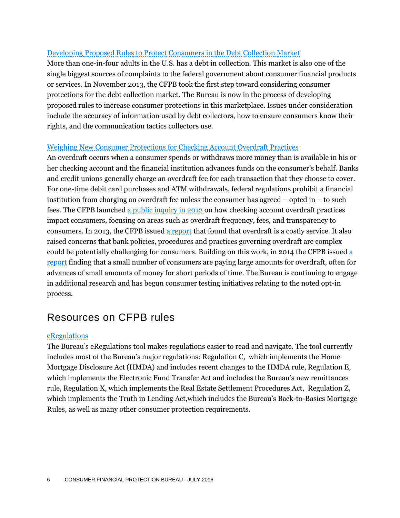#### [Developing Proposed Rules to Protect Consumers in the Debt Collection Market](http://www.consumerfinance.gov/newsroom/cfpb-considers-debt-collection-rules/)

More than one-in-four adults in the U.S. has a debt in collection. This market is also one of the single biggest sources of complaints to the federal government about consumer financial products or services. In November 2013, the CFPB took the first step toward considering consumer protections for the debt collection market. The Bureau is now in the process of developing proposed rules to increase consumer protections in this marketplace. Issues under consideration include the accuracy of information used by debt collectors, how to ensure consumers know their rights, and the communication tactics collectors use.

#### [Weighing New Consumer Protections for Checking Account Overdraft Practices](http://www.consumerfinance.gov/about-us/blog/spring-2016-rulemaking-agenda/)

An overdraft occurs when a consumer spends or withdraws more money than is available in his or her checking account and the financial institution advances funds on the consumer's behalf. Banks and credit unions generally charge an overdraft fee for each transaction that they choose to cover. For one-time debit card purchases and ATM withdrawals, federal regulations prohibit a financial institution from charging an overdraft fee unless the consumer has agreed – opted in – to such fees. The CFPB launched [a public inquiry in 2012 o](http://www.consumerfinance.gov/newsroom/consumer-financial-protection-bureau-launches-inquiry-into-overdraft-practices/)n how checking account overdraft practices impact consumers, focusing on areas such as overdraft frequency, fees, and transparency to consumers. In 2013, the CFPB issued [a report](http://www.consumerfinance.gov/newsroom/cfpb-report-raises-concerns-about-impact-of-overdraft-practices-on-consumers/) that found that overdraft is a costly service. It also raised concerns that bank policies, procedures and practices governing overdraft are complex could be potentially challenging for consumers. Building on this work, in 2014 the CFPB issue[d a](http://www.consumerfinance.gov/newsroom/cfpb-finds-small-debit-purchases-lead-to-expensive-overdraft-charges/)  [report](http://www.consumerfinance.gov/newsroom/cfpb-finds-small-debit-purchases-lead-to-expensive-overdraft-charges/) finding that a small number of consumers are paying large amounts for overdraft, often for advances of small amounts of money for short periods of time. The Bureau is continuing to engage in additional research and has begun consumer testing initiatives relating to the noted opt-in process.

# Resources on CFPB rules

#### [eRegulations](http://www.consumerfinance.gov/eregulations/about)

The Bureau's eRegulations tool makes regulations easier to read and navigate. The tool currently includes most of the Bureau's major regulations: Regulation C, which implements the Home Mortgage Disclosure Act (HMDA) and includes recent changes to the HMDA rule, Regulation E, which implements the Electronic Fund Transfer Act and includes the Bureau's new remittances rule, Regulation X, which implements the Real Estate Settlement Procedures Act, Regulation Z, which implements the Truth in Lending Act,which includes the Bureau's Back-to-Basics Mortgage Rules, as well as many other consumer protection requirements.